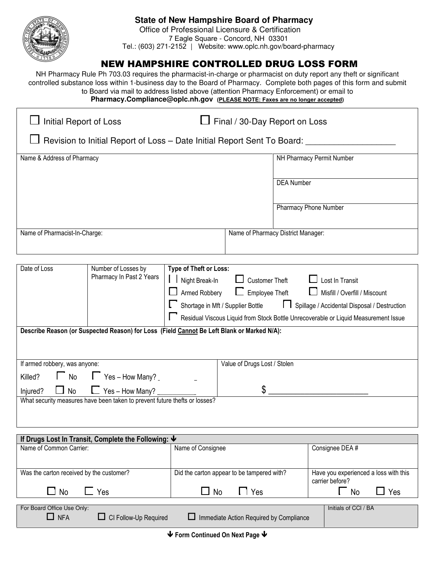

## **State of New Hampshire Board of Pharmacy**

 Office of Professional Licensure & Certification 7 Eagle Square - Concord, NH 03301 Tel.: (603) 271-2152 | Website: www.oplc.nh.gov/board-pharmacy

## NEW HAMPSHIRE CONTROLLED DRUG LOSS FORM

NH Pharmacy Rule Ph 703.03 requires the pharmacist-in-charge or pharmacist on duty report any theft or significant controlled substance loss within 1-business day to the Board of Pharmacy. Complete both pages of this form and submit to Board via mail to address listed above (attention Pharmacy Enforcement) or email to **Pharmacy.Compliance@oplc.nh.gov (PLEASE NOTE: Faxes are no longer accepted)**

| Initial Report of Loss                                                                     |                          |                                                                                     | Final / 30-Day Report on Loss      |                                |  |  |
|--------------------------------------------------------------------------------------------|--------------------------|-------------------------------------------------------------------------------------|------------------------------------|--------------------------------|--|--|
| Revision to Initial Report of Loss - Date Initial Report Sent To Board:                    |                          |                                                                                     |                                    |                                |  |  |
| Name & Address of Pharmacy                                                                 |                          |                                                                                     |                                    | NH Pharmacy Permit Number      |  |  |
|                                                                                            |                          |                                                                                     |                                    | <b>DEA Number</b>              |  |  |
|                                                                                            |                          |                                                                                     |                                    | Pharmacy Phone Number          |  |  |
| Name of Pharmacist-In-Charge:                                                              |                          |                                                                                     | Name of Pharmacy District Manager: |                                |  |  |
|                                                                                            |                          |                                                                                     |                                    |                                |  |  |
| Date of Loss<br>Type of Theft or Loss:<br>Number of Losses by<br>Pharmacy In Past 2 Years  |                          |                                                                                     |                                    |                                |  |  |
|                                                                                            |                          | Night Break-In                                                                      |                                    | Customer Theft Lost In Transit |  |  |
|                                                                                            |                          | $\Box$ Employee Theft<br>Armed Robbery<br>Misfill / Overfill / Miscount             |                                    |                                |  |  |
|                                                                                            |                          | Shortage in Mft / Supplier Bottle<br>Spillage / Accidental Disposal / Destruction   |                                    |                                |  |  |
|                                                                                            |                          | Residual Viscous Liquid from Stock Bottle Unrecoverable or Liquid Measurement Issue |                                    |                                |  |  |
| Describe Reason (or Suspected Reason) for Loss (Field Cannot Be Left Blank or Marked N/A): |                          |                                                                                     |                                    |                                |  |  |
|                                                                                            |                          |                                                                                     |                                    |                                |  |  |
| If armed robbery, was anyone:                                                              |                          |                                                                                     | Value of Drugs Lost / Stolen       |                                |  |  |
| $\Box$ No<br>Killed?                                                                       | $\Gamma$ Yes – How Many? |                                                                                     |                                    |                                |  |  |

Injured?  $\Box$  No  $\Box$  Yes – How Many?  $\frac{1}{2}$   $\frac{1}{2}$   $\frac{1}{2}$   $\frac{1}{2}$   $\frac{1}{2}$   $\frac{1}{2}$   $\frac{1}{2}$   $\frac{1}{2}$   $\frac{1}{2}$   $\frac{1}{2}$   $\frac{1}{2}$   $\frac{1}{2}$   $\frac{1}{2}$   $\frac{1}{2}$   $\frac{1}{2}$   $\frac{1}{2}$   $\frac{1}{2}$   $\frac{1}{2}$   $\frac{1}{2}$   $\frac{1}{2}$   $\frac{1}{2}$   $\frac{1}{2}$  What security measures have been taken to prevent future thefts or losses?

| If Drugs Lost In Transit, Complete the Following: $\blacktriangleright$  |                                                |                                                          |  |  |  |  |
|--------------------------------------------------------------------------|------------------------------------------------|----------------------------------------------------------|--|--|--|--|
| Name of Common Carrier:                                                  | Name of Consignee                              | Consignee DEA #                                          |  |  |  |  |
| Was the carton received by the customer?                                 | Did the carton appear to be tampered with?     | Have you experienced a loss with this<br>carrier before? |  |  |  |  |
| $\Box$ No<br>Yes                                                         | Yes<br><b>No</b>                               | Yes<br>No                                                |  |  |  |  |
| For Board Office Use Only:<br>$\Box$ NFA<br>$\Box$ CI Follow-Up Required | $\Box$ Immediate Action Required by Compliance | Initials of CCI / BA                                     |  |  |  |  |